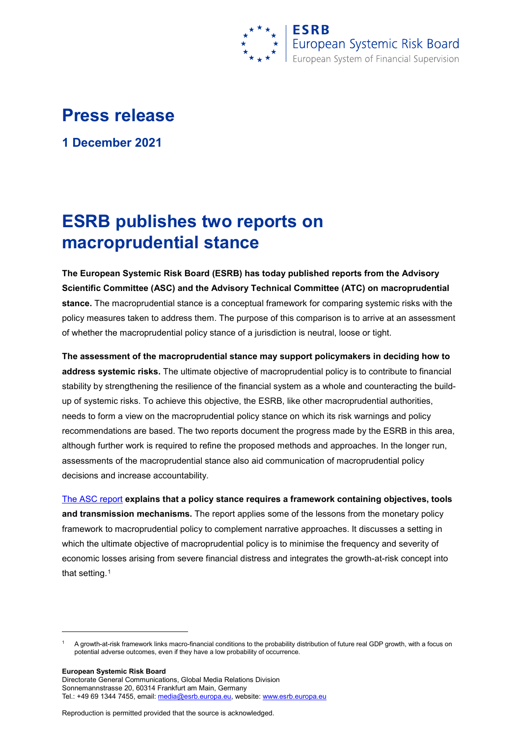

## **Press release**

**1 December 2021**

## **ESRB publishes two reports on macroprudential stance**

**The European Systemic Risk Board (ESRB) has today published reports from the Advisory Scientific Committee (ASC) and the Advisory Technical Committee (ATC) on macroprudential stance.** The macroprudential stance is a conceptual framework for comparing systemic risks with the policy measures taken to address them. The purpose of this comparison is to arrive at an assessment of whether the macroprudential policy stance of a jurisdiction is neutral, loose or tight.

**The assessment of the macroprudential stance may support policymakers in deciding how to address systemic risks.** The ultimate objective of macroprudential policy is to contribute to financial stability by strengthening the resilience of the financial system as a whole and counteracting the buildup of systemic risks. To achieve this objective, the ESRB, like other macroprudential authorities, needs to form a view on the macroprudential policy stance on which its risk warnings and policy recommendations are based. The two reports document the progress made by the ESRB in this area, although further work is required to refine the proposed methods and approaches. In the longer run, assessments of the macroprudential stance also aid communication of macroprudential policy decisions and increase accountability.

[The ASC report](https://www.esrb.europa.eu/pub/pdf/asc/esrb.ascreport202111_macroprudentialpolicystance%7E58c05ce506.en.pdf) **explains that a policy stance requires a framework containing objectives, tools and transmission mechanisms.** The report applies some of the lessons from the monetary policy framework to macroprudential policy to complement narrative approaches. It discusses a setting in which the ultimate objective of macroprudential policy is to minimise the frequency and severity of economic losses arising from severe financial distress and integrates the growth-at-risk concept into that setting.[1](#page-0-0)

**European Systemic Risk Board**

-

Directorate General Communications, Global Media Relations Division Sonnemannstrasse 20, 60314 Frankfurt am Main, Germany Tel.: +49 69 1344 7455, email[: media@esrb.europa.eu,](mailto:media@esrb.europa.eu) website: www.esrb.europa.eu

Reproduction is permitted provided that the source is acknowledged.

<span id="page-0-0"></span><sup>1</sup> A growth-at-risk framework links macro-financial conditions to the probability distribution of future real GDP growth, with a focus on potential adverse outcomes, even if they have a low probability of occurrence.